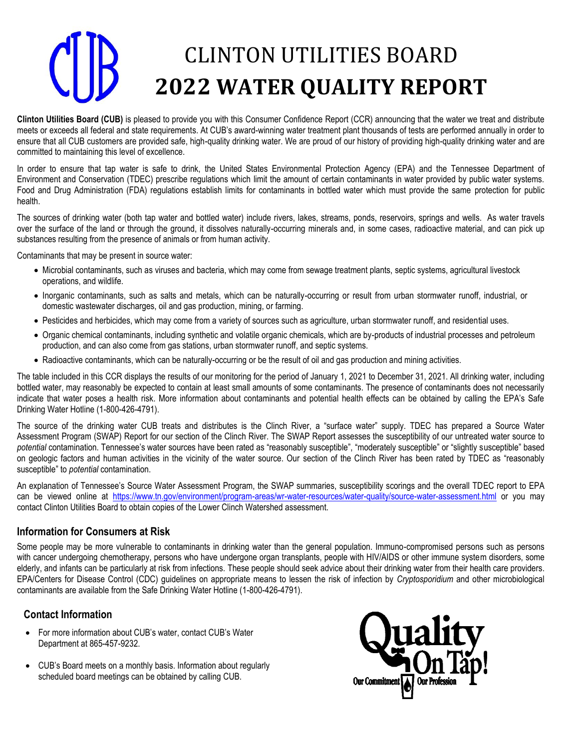# CLINTON UTILITIES BOARD **2022 WATER QUALITY REPORT**

**Clinton Utilities Board (CUB)** is pleased to provide you with this Consumer Confidence Report (CCR) announcing that the water we treat and distribute meets or exceeds all federal and state requirements. At CUB's award-winning water treatment plant thousands of tests are performed annually in order to ensure that all CUB customers are provided safe, high-quality drinking water. We are proud of our history of providing high-quality drinking water and are committed to maintaining this level of excellence.

In order to ensure that tap water is safe to drink, the United States Environmental Protection Agency (EPA) and the Tennessee Department of Environment and Conservation (TDEC) prescribe regulations which limit the amount of certain contaminants in water provided by public water systems. Food and Drug Administration (FDA) regulations establish limits for contaminants in bottled water which must provide the same protection for public health.

The sources of drinking water (both tap water and bottled water) include rivers, lakes, streams, ponds, reservoirs, springs and wells. As water travels over the surface of the land or through the ground, it dissolves naturally-occurring minerals and, in some cases, radioactive material, and can pick up substances resulting from the presence of animals or from human activity.

Contaminants that may be present in source water:

- Microbial contaminants, such as viruses and bacteria, which may come from sewage treatment plants, septic systems, agricultural livestock operations, and wildlife.
- Inorganic contaminants, such as salts and metals, which can be naturally-occurring or result from urban stormwater runoff, industrial, or domestic wastewater discharges, oil and gas production, mining, or farming.
- Pesticides and herbicides, which may come from a variety of sources such as agriculture, urban stormwater runoff, and residential uses.
- Organic chemical contaminants, including synthetic and volatile organic chemicals, which are by-products of industrial processes and petroleum production, and can also come from gas stations, urban stormwater runoff, and septic systems.
- Radioactive contaminants, which can be naturally-occurring or be the result of oil and gas production and mining activities.

The table included in this CCR displays the results of our monitoring for the period of January 1, 2021 to December 31, 2021. All drinking water, including bottled water, may reasonably be expected to contain at least small amounts of some contaminants. The presence of contaminants does not necessarily indicate that water poses a health risk. More information about contaminants and potential health effects can be obtained by calling the EPA's Safe Drinking Water Hotline (1-800-426-4791).

The source of the drinking water CUB treats and distributes is the Clinch River, a "surface water" supply. TDEC has prepared a Source Water Assessment Program (SWAP) Report for our section of the Clinch River. The SWAP Report assesses the susceptibility of our untreated water source to *potential* contamination. Tennessee's water sources have been rated as "reasonably susceptible", "moderately susceptible" or "slightly susceptible" based on geologic factors and human activities in the vicinity of the water source. Our section of the Clinch River has been rated by TDEC as "reasonably susceptible" to *potential* contamination.

An explanation of Tennessee's Source Water Assessment Program, the SWAP summaries, susceptibility scorings and the overall TDEC report to EPA can be viewed online at <https://www.tn.gov/environment/program-areas/wr-water-resources/water-quality/source-water-assessment.html> or you may contact Clinton Utilities Board to obtain copies of the Lower Clinch Watershed assessment.

## **Information for Consumers at Risk**

Some people may be more vulnerable to contaminants in drinking water than the general population. Immuno-compromised persons such as persons with cancer undergoing chemotherapy, persons who have undergone organ transplants, people with HIV/AIDS or other immune system disorders, some elderly, and infants can be particularly at risk from infections. These people should seek advice about their drinking water from their health care providers. EPA/Centers for Disease Control (CDC) guidelines on appropriate means to lessen the risk of infection by *Cryptosporidium* and other microbiological contaminants are available from the Safe Drinking Water Hotline (1-800-426-4791).

## **Contact Information**

- For more information about CUB's water, contact CUB's Water Department at 865-457-9232.
- CUB's Board meets on a monthly basis. Information about regularly scheduled board meetings can be obtained by calling CUB.